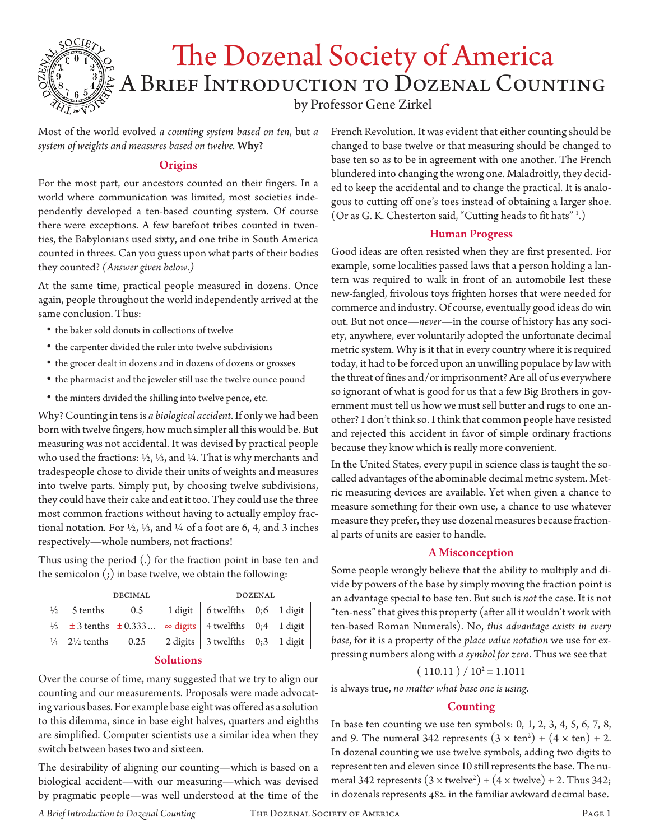

Most of the world evolved *a counting system based on ten*, but *a system of weights and measures based on twelve.* Why?

## **Origins**

For the most part, our ancestors counted on their fingers. In a world where communication was limited, most societies independently developed a ten-based counting system. Of course there were exceptions. A few barefoot tribes counted in twenties, the Babylonians used sixty, and one tribe in South America counted in threes. Can you guess upon what parts of their bodies they counted? *(Answer given below.)*

At the same time, practical people measured in dozens. Once again, people throughout the world independently arrived at the same conclusion. Thus:

- the baker sold donuts in collections of twelve
- the carpenter divided the ruler into twelve subdivisions
- the grocer dealt in dozens and in dozens of dozens or grosses
- the pharmacist and the jeweler still use the twelve ounce pound
- the minters divided the shilling into twelve pence, etc.

Why? Counting in tens is *a biological accident*. If only we had been born with twelve fingers, how much simpler all this would be. But measuring was not accidental. It was devised by practical people who used the fractions: ½, ⅓, and ¼. That is why merchants and tradespeople chose to divide their units of weights and measures into twelve parts. Simply put, by choosing twelve subdivisions, they could have their cake and eat it too. They could use the three most common fractions without having to actually employ fractional notation. For  $\frac{1}{2}$ ,  $\frac{1}{3}$ , and  $\frac{1}{4}$  of a foot are 6, 4, and 3 inches respectively—whole numbers, not fractions!

Thus using the period (.) for the fraction point in base ten and the semicolon (;) in base twelve, we obtain the following:

|                                                                                                                                                                                                                                                                                         | <b>DECIMAL</b> | <b>DOZENAL</b> |  |  |  |
|-----------------------------------------------------------------------------------------------------------------------------------------------------------------------------------------------------------------------------------------------------------------------------------------|----------------|----------------|--|--|--|
| <sup>1/2</sup> / <sub>2</sub> 5 tenths 0.5 1 digit 6 twelfths 0;6 1 digit $\begin{vmatrix} 5 & 1 & 6 \\ 1 & 3 & 1 \end{vmatrix}$ 5 tenths $\begin{vmatrix} 6 & 1 & 6 \\ 1 & 3 & 1 \end{vmatrix}$ 5 tenths $\begin{vmatrix} 1 & 3 & 1 \\ 2 & 3 & 1 \end{vmatrix}$ 4 twelfths 0;4 1 digit |                |                |  |  |  |
|                                                                                                                                                                                                                                                                                         |                |                |  |  |  |
| $\frac{1}{4}$ 2 <sup>1</sup> / <sub>2</sub> tenths 0.25 2 digits 3 twelfths 0.3 1 digit                                                                                                                                                                                                 |                |                |  |  |  |

### Solutions

Over the course of time, many suggested that we try to align our counting and our measurements. Proposals were made advocating various bases. For example base eight was offered as a solution to this dilemma, since in base eight halves, quarters and eighths are simplified. Computer scientists use a similar idea when they switch between bases two and sixteen.

The desirability of aligning our counting—which is based on a biological accident—with our measuring—which was devised by pragmatic people—was well understood at the time of the

French Revolution. It was evident that either counting should be changed to base twelve or that measuring should be changed to base ten so as to be in agreement with one another. The French blundered into changing the wrong one. Maladroitly, they decided to keep the accidental and to change the practical. It is analogous to cutting off one's toes instead of obtaining a larger shoe. (Or as G. K. Chesterton said, "Cutting heads to fit hats" 1 .)

## Human Progress

Good ideas are often resisted when they are first presented. For example, some localities passed laws that a person holding a lantern was required to walk in front of an automobile lest these new-fangled, frivolous toys frighten horses that were needed for commerce and industry. Of course, eventually good ideas do win out. But not once—*never*—in the course of history has any society, anywhere, ever voluntarily adopted the unfortunate decimal metric system. Why is it that in every country where it is required today, it had to be forced upon an unwilling populace by law with the threat of fines and/or imprisonment? Are all of us everywhere so ignorant of what is good for us that a few Big Brothers in government must tell us how we must sell butter and rugs to one another? I don't think so. I think that common people have resisted and rejected this accident in favor of simple ordinary fractions because they know which is really more convenient.

In the United States, every pupil in science class is taught the socalled advantages of the abominable decimal metric system. Metric measuring devices are available. Yet when given a chance to measure something for their own use, a chance to use whatever measure they prefer, they use dozenal measures because fractional parts of units are easier to handle.

## A Misconception

Some people wrongly believe that the ability to multiply and divide by powers of the base by simply moving the fraction point is an advantage special to base ten. But such is *not* the case. It is not "ten-ness" that gives this property (after all it wouldn't work with ten-based Roman Numerals). No, *this advantage exists in every base*, for it is a property of the *place value notation* we use for expressing numbers along with *a symbol for zero*. Thus we see that

# $(110.11) / 10^2 = 1.1011$

is always true, *no matter what base one is using*.

## Counting

In base ten counting we use ten symbols: 0, 1, 2, 3, 4, 5, 6, 7, 8, and 9. The numeral 342 represents  $(3 \times \text{ten}^2) + (4 \times \text{ten}) + 2$ . In dozenal counting we use twelve symbols, adding two digits to represent ten and eleven since 10 still represents the base. The numeral 342 represents  $(3 \times \text{twelve}^2) + (4 \times \text{twelve}) + 2$ . Thus 342; in dozenals represents 482. in the familiar awkward decimal base.